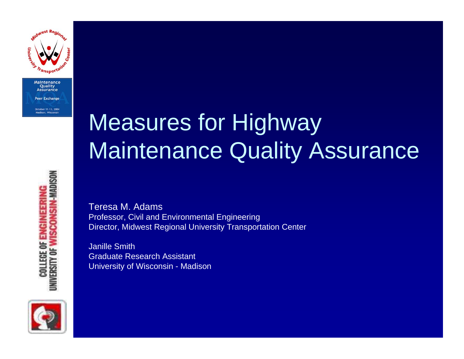

Maintenance

### Measures for Highway Maintenance Quality Assurance

Teresa M. AdamsProfessor, Civil and Environmental Engineering Director, Midwest Regional University Transportation Center

Janille SmithGraduate Research AssistantUniversity of Wisconsin - Madison



**SCONSIN-MADISON COLLEGE OF ENGINEERIN** *UNIVERSITY OF*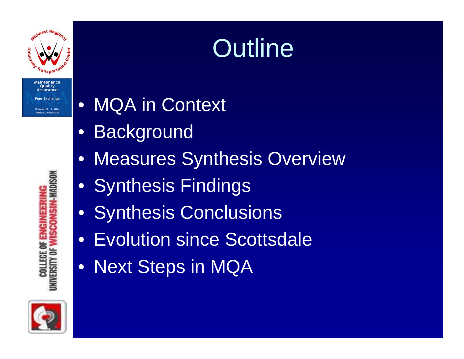

# **Outline**

 $\bullet$ MQA in Context

- $\bullet$ **Background**
- •Measures Synthesis Overview
- Synthesis Findings
- $\bullet$ Synthesis Conclusions
- Evolution since Scottsdale
- Next Steps in MQA



**UNIVERSITY OF WISCONSIN-MADISON COLLEGE OF ENGINEERIN**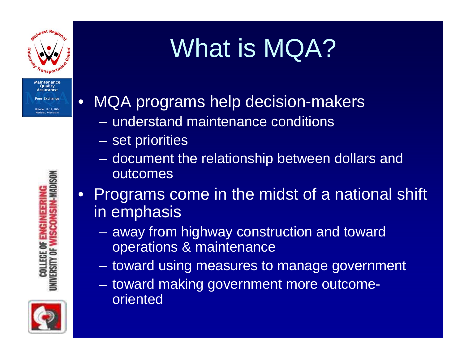

Maintenance **Ouality** Assurance er Exchange Aadison, Wisconsi

•



MQA programs help decision-makers

- understand maintenance conditions
- set priorities
- document the relationship between dollars and outcomes
- $\bullet$ Programs come in the midst of a national shift in emphasis
	- away from highway construction and toward operations & maintenance
	- toward using measures to manage government
	- toward making government more outcomeoriented

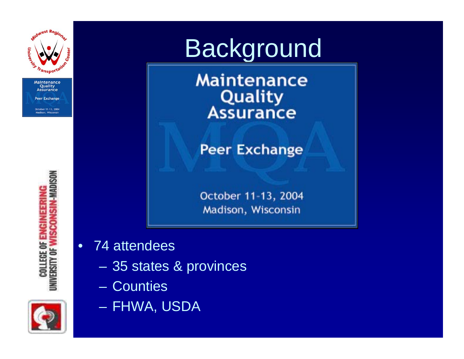

**COLLEGE OF ENGINEERING<br>UNIVERSITY OF WISCONSIN-MADISON** 



**Maintenance** Quality **Assurance** 

**Peer Exchange** 

October 11-13, 2004 Madison, Wisconsin

- •74 attendees
	- 35 states & provinces
	- –Counties



– FHWA, USDA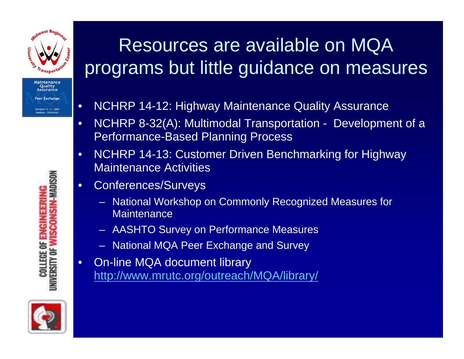

#### Resources are available on MQA programs but little guidance on measures

- •NCHRP 14-12: Highway Maintenance Quality Assurance
- •NCHRP 8-32(A): Multimodal Transportation - Development of a Performance-Based Planning Process
- •NCHRP 14-13: Customer Driven Benchmarking for Highway Maintenance Activities
- •Conferences/Surveys
	- National Workshop on Commonly Recognized Measures for **Maintenance**
	- AASHTO Survey on Performance Measures
	- National MQA Peer Exchange and Survey
- •On-line MQA document library <http://www.mrutc.org/outreach/MQA/library/>



**UNIVERSITY OF WISCONSIN-MADISON COLLEGE OF ENGINEERIN**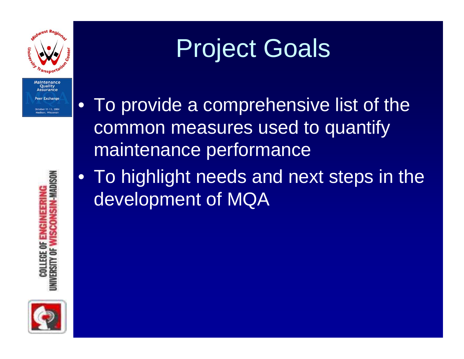

# Project Goals

• To provide a comprehensive list of the common measures used to quantify maintenance performance

• To highlight needs and next steps in the development of MQA



**INIVERSITY OF WISCONSIN-MADISON** COLLEGE OF ENGINEERIN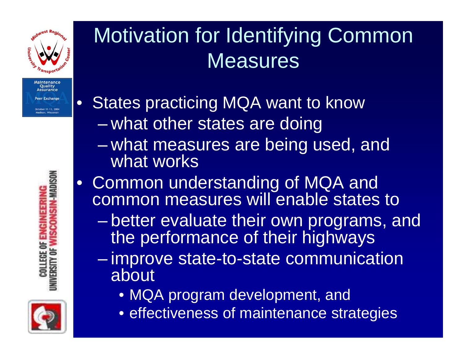

Quality ssurance **Exchang** 

 $\bullet$ 

#### Motivation for Identifying Common **Measures**

States practicing MQA want to know  $\mathcal{L}_{\mathcal{A}}$ – what other states are doing

- $\mathcal{L}_{\mathcal{A}}$ – what measures are being used, and what works
- Common understanding of MQA and common measures will enable states to
	- – better evaluate their own programs, and the performance of their highways
	- $\mathcal{L}_{\mathcal{A}}$  $-$  improve state-to-state communication  $\overline{\phantom{a}}$ about
		- MQA program development, and
		- effectiveness of maintenance strategies

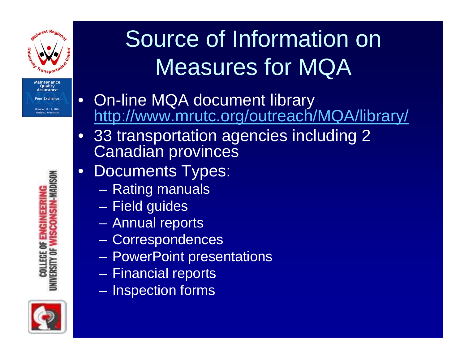

### Source of Information on Measures for MQA

- •On-line MQA document library <http://www.mrutc.org/outreach/MQA/library/>
- • 33 transportation agencies including 2 Canadian provinces
- $\bullet$ Documents Types:
	- Rating manuals
	- Field guides
	- Annual reports
	- Correspondences
	- PowerPoint presentations
	- Financial reports
	- – $-$  Inspection forms



**UNIVERSITY OF WISCONSIN-MADISON COLLEGE OF ENGINEERIN**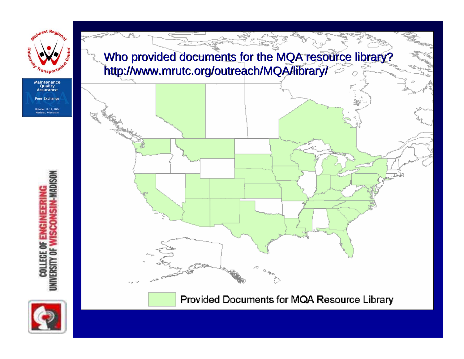

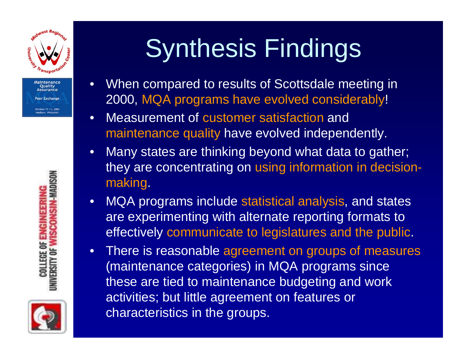



# Synthesis Findings

- •When compared to results of Scottsdale meeting in 2000, MQA programs have evolved considerably!
- •Measurement of customer satisfaction and maintenance quality have evolved independently.
- •Many states are thinking beyond what data to gather; they are concentrating on using information in decisionmaking.
- •MQA programs include statistical analysis, and states are experimenting with alternate reporting formats to effectively communicate to legislatures and the public.
- $\bullet$ There is reasonable agreement on groups of measures (maintenance categories) in MQA programs since these are tied to maintenance budgeting and work activities; but little agreement on features or characteristics in the groups.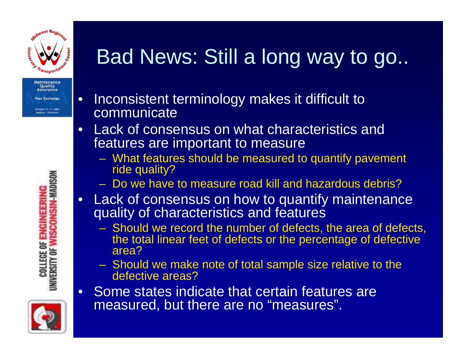

 $\bullet$ 

•

#### Bad News: Still a long way to go..

- Inconsistent terminology makes it difficult to communicate
- •Lack of consensus on what characteristics and features are important to measure
	- What features should be measured to quantify pavement ride quality?
	- Do we have to measure road kill and hazardous debris?
- Lack of consensus on how to quantify maintenance quality of characteristics and features
	- Should we record the number of defects, the area of defects, the total linear feet of defects or the percentage of defective area?
	- Should we make note of total sample size relative to the defective areas?
	- Some states indicate that certain features are measured, but there are no "measures".

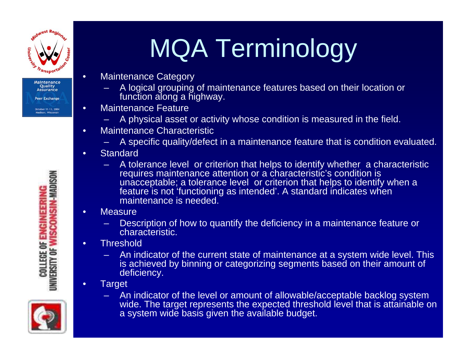

•

•

•

# MQA Terminology

- Maintenance Category
	- A logical grouping of maintenance features based on their location or function along a highway.
- •Maintenance Feature
	- A physical asset or activity whose condition is measured in the field.
- •Maintenance Characteristic
	- A specific quality/defect in a maintenance feature that is condition evaluated.
- •**Standard** 
	- A tolerance level or criterion that helps to identify whether a characteristic requires maintenance attention or a characteristic's condition is unacceptable; a tolerance level or criterion that helps to identify when a feature is not 'functioning as intended'. A standard indicates when maintenance is needed.
	- Measure
		- Description of how to quantify the deficiency in a maintenance feature or characteristic.
- •**Threshold** 
	- An indicator of the current state of maintenance at a system wide level. This is achieved by binning or categorizing segments based on their amount of deficiency.
	- **Target**
- 

An indicator of the level or amount of allowable/acceptable backlo g system wide. The target represents the expected threshold level that is attainable on a system wide basis given the available budget.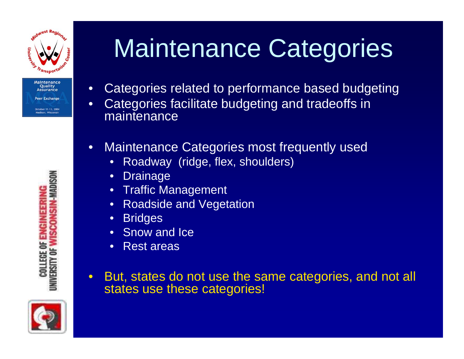



- $\bullet$ Categories related to performance based budgeting
- •Categories facilitate budgeting and tradeoffs in maintenance
- $\bullet$ Maintenance Categories most frequently used
	- •Roadway (ridge, flex, shoulders)
	- •**Drainage**
	- •Traffic Management
	- •Roadside and Vegetation
	- •**Bridges**
	- •Snow and Ice
	- •Rest areas
- $\bullet$ But, states do not use the same categories, and not all states use these categories!

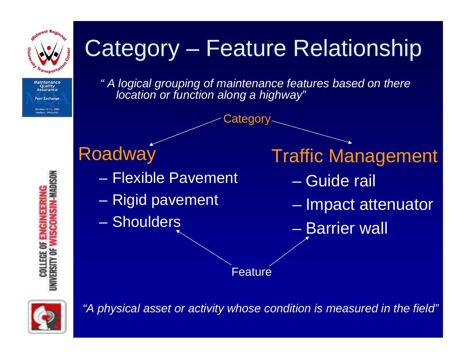

Aaintenance **Ouality** Assurance **Br** Exchang

**SIN-MADISON** 

#### Category – Feature Relationship

*" A logical grouping of maintenance features based on there location or function along a highway"*

Category

#### **Roadway**

- Flexible Pavement
- –– Rigid pavement
- Shoulders

Traffic Management

- Guide rail
- –– Impact attenuator
- Barrier wall

Feature



**COLLEGE OF** VERSITY OF

*"A physical asset or activity whose condition is measured in the field"*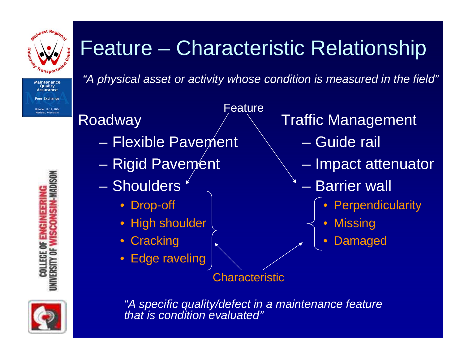

**NSIN-MADISON** 

#### Feature – Characteristic Relationship

Feature

*"A physical asset or activity whose condition is measured in the field"*

#### **Roadway**

- Flexible Pavement
- –– Rigid Pavem⁄ent
- Shoulders
	- Drop-off
	- High shoulder
	- Cracking
	- $\bullet$ Edge raveling

Traffic Management

- Guide rail
- Impact attenuator
- Barrier wall
	- $\bullet$ **Perpendicularity**
	- $\bullet$ **Missing** 
		- $\bullet$ Damaged

Characteristic

**COLLEGE OF ENGIN** 

**IVERSITY OF** 

*"A specific quality/defect in a maintenance feature that is condition evaluated"*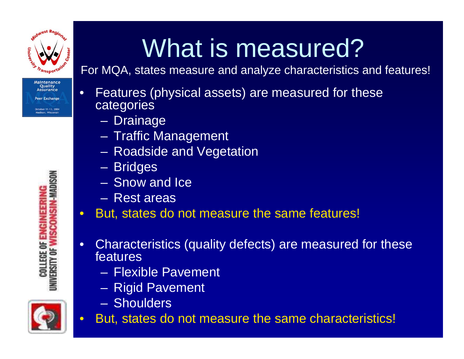

# What is measured?

For MQA, states measure and analyze characteristics and features!

- •Features (physical assets) are measured for these categories
	- Drainage
	- Traffic Management
	- Roadside and Vegetation
	- Bridges
	- Snow and Ice
	- Rest areas
- •But, states do not measure the same features!
- •Characteristics (quality defects) are measured for these features
	- Flexible Pavement
	- Rigid Pavement
	- –Shoulders



**SCONSIN-MADISON COLLEGE OF ENGINEERIN JNIVERSITY OF \** 



•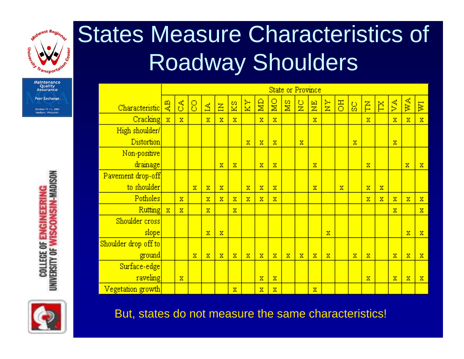

### States Measure Characteristics of Roadway Shoulders

|                      | <b>State or Province</b> |                         |             |                         |             |                |             |             |                         |             |               |               |               |    |             |                         |                         |                        |                         |             |
|----------------------|--------------------------|-------------------------|-------------|-------------------------|-------------|----------------|-------------|-------------|-------------------------|-------------|---------------|---------------|---------------|----|-------------|-------------------------|-------------------------|------------------------|-------------------------|-------------|
| Characteristic       | 说                        | S                       | 8           | 盘                       | $\Xi$       | $\mathbb{Z}^2$ | $K_{\rm X}$ | g           | $\overline{\mathbf{M}}$ | SM          | $\frac{C}{Z}$ | $\frac{E}{Z}$ | $\frac{1}{2}$ | õЕ | 9g          | F                       | Ĕ                       | $\overline{\text{VA}}$ | WA                      | ĪМ          |
| Cracking             | $\mathbf x$              | $\mathbf x$             |             | $\overline{\mathbf{x}}$ | $\mathbf x$ | $\mathbf x$    |             | $\mathbf x$ | $\mathbf x$             |             |               | $\mathbf x$   |               |    |             | $\overline{\mathbf{x}}$ |                         | $\mathbf x$            | $\overline{\mathbf{x}}$ | $\rm X$     |
| High shoulder/       |                          |                         |             |                         |             |                |             |             |                         |             |               |               |               |    |             |                         |                         |                        |                         |             |
| <b>Distortion</b>    |                          |                         |             |                         |             |                | $\mathbf x$ | $\mathbf x$ | $\mathbf x$             |             | $\mathbf x$   |               |               |    | $\mathbf x$ |                         |                         | $\mathbf x$            |                         |             |
| Non-positive         |                          |                         |             |                         |             |                |             |             |                         |             |               |               |               |    |             |                         |                         |                        |                         |             |
| drainage             |                          |                         |             |                         | $\mathbf x$ | $\mathbf x$    |             | $\mathbf x$ | $\mathbf x$             |             |               | $\mathbf x$   |               |    |             | $\mathbf x$             |                         |                        | $\mathbf x$             | $\mathbf x$ |
| Pavement drop-off    |                          |                         |             |                         |             |                |             |             |                         |             |               |               |               |    |             |                         |                         |                        |                         |             |
| to shoulder          |                          |                         | $\mathbf x$ | $\mathbf x$             | $\mathbf x$ |                | $\mathbf x$ | $\mathbf x$ | $\mathbf x$             |             |               | $\mathbf x$   |               | x  |             | $\overline{\mathbf{x}}$ | $\mathbf x$             |                        |                         |             |
| Potholes             |                          | $\overline{\mathbf{x}}$ |             | $\overline{\mathbf{x}}$ | $\mathbf x$ | $\mathbf x$    | $\mathbf x$ | $\mathbf x$ | $\mathbf x$             |             |               |               |               |    |             | $\mathbf x$             | $\overline{\mathbf{x}}$ | $\mathbf x$            | $\overline{\mathbf{x}}$ | $\rm X$     |
| <b>Rutting</b>       | $\mathbf x$              | $\mathbf x$             |             | $\mathbf x$             |             | $\mathbf x$    |             |             |                         |             |               |               |               |    |             |                         |                         | $\mathbf x$            |                         | $\mathbf x$ |
| Shoulder cross       |                          |                         |             |                         |             |                |             |             |                         |             |               |               |               |    |             |                         |                         |                        |                         |             |
| slope                |                          |                         |             | $\mathbf x$             | $\mathbf x$ |                |             |             |                         |             |               |               | $\mathbf x$   |    |             |                         |                         |                        | $\overline{\mathbf{x}}$ | $\rm X$     |
| Shoulder drop off to |                          |                         |             |                         |             |                |             |             |                         |             |               |               |               |    |             |                         |                         |                        |                         |             |
| ground               |                          |                         | $\mathbf x$ | $\mathbf x$             | $\mathbf x$ | $\mathbf x$    | $\mathbf x$ | $\mathbf x$ | $\mathbf x$             | $\mathbf x$ | $\mathbf x$   | $\mathbf x$   | $\mathbf x$   |    | $\mathbf x$ | $\mathbf x$             |                         | $\mathbf x$            | $\bar{\mathbf{x}}$      | $\mathbf x$ |
| Surface-edge         |                          |                         |             |                         |             |                |             |             |                         |             |               |               |               |    |             |                         |                         |                        |                         |             |
| raveling             |                          | $\mathbf x$             |             |                         |             |                |             | $\mathbf x$ | $\mathbf x$             |             |               |               |               |    |             | $\mathbf x$             |                         | $\mathbf x$            | $\overline{\mathbf{x}}$ | $\rm X$     |
| Vegetation growth    |                          |                         |             |                         |             | $\mathbf x$    |             | $\mathbf x$ | $\mathbf x$             |             |               | $\mathbf x$   |               |    |             |                         |                         |                        |                         |             |



UNIVERSITY OF WISCONSIN-MADISON **COLLEGE OF ENGINEERIN** 

But, states do not measure the same characteristics!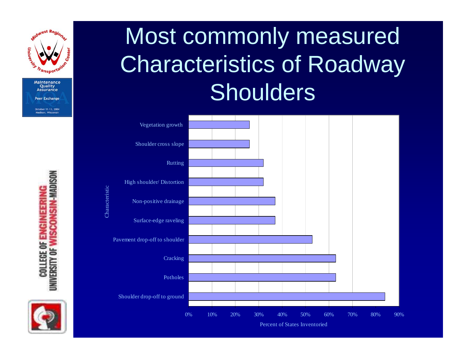



Characteristic



#### Most commonly measured Characteristics of Roadway **Shoulders**

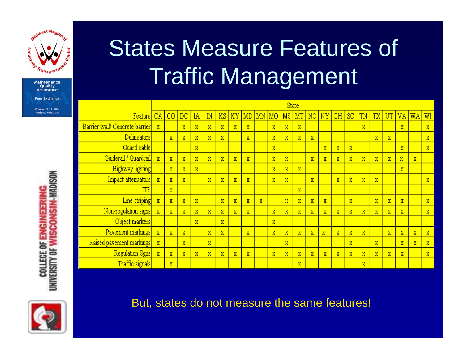

**Maintenance Ouality Assurance Peer Exchange** October 11-13, 2004

Madison, Wisconsin

#### States Measure Features of Traffic Management

|                                | <b>State</b>            |                         |                         |                       |                       |                         |                       |                       |                       |                         |                       |                         |                       |                       |                         |                       |                       |                       |                       |                       |    |                         |
|--------------------------------|-------------------------|-------------------------|-------------------------|-----------------------|-----------------------|-------------------------|-----------------------|-----------------------|-----------------------|-------------------------|-----------------------|-------------------------|-----------------------|-----------------------|-------------------------|-----------------------|-----------------------|-----------------------|-----------------------|-----------------------|----|-------------------------|
| Feature                        | CA                      | $_{\rm CO}$             | $_{\rm DC}$             | ΙA                    | IN                    | KS                      | ΚY <sub></sub>        | MD                    | MN MO                 |                         | MS                    | МT                      | NC                    | NY                    | ΟH                      | SC                    | TN                    | <b>TX</b>             | UT                    | VA                    | WA | WI                      |
| Barrier wall/ Concrete barrier | $\mathbf{X}$            |                         | $\overline{\text{X}}$   | $\rm X$               | X                     | $\overline{\textbf{x}}$ | $\rm X$               | X.                    |                       | X                       | $\rm X$               | $\mathbf X$             |                       |                       |                         |                       | $\rm X$               |                       |                       | $\rm X$               |    | $\mathbf x$             |
| Delineators                    |                         | $\mathbf x$             | $\mathbf{x}$            | $\rm X$               | $\overline{\text{X}}$ | $\mathbf x$             |                       | $\overline{\text{X}}$ |                       | $\overline{\text{X}}$   | $\mathbf{x}$          | $\overline{\text{X}}$   | $\mathbf{x}$          |                       |                         |                       |                       | $\mathbf{x}$          | x                     |                       |    | $\mathbf x$             |
| Guard cable                    |                         |                         |                         | $\rm X$               |                       |                         |                       |                       |                       | X                       |                       |                         |                       | X                     | $\overline{\text{X}}$   | X                     |                       |                       |                       | $\mathbf{x}$          |    | $\overline{\mathbf{X}}$ |
| Guiderail / Guardrail          | $\overline{\mathbf{X}}$ | $\mathbf x$             | $\mathbf{X}$            | $\mathbf{x}$          | $\rm X$               | $\mathbf x$             | $\mathbf{x}$          | $\rm X$               |                       | $\rm X$                 | $\mathbf{x}$          |                         | $\mathbf X$           | $\overline{\text{X}}$ | $\mathbf x$             | X                     | $\mathbf{X}$          | $\mathbf{X}$          | $\mathbf X$           | $\rm X$               | X. |                         |
| <b>Highway lighting</b>        |                         | $\overline{\mathbf{X}}$ | $\overline{\textbf{X}}$ | $\mathbf{X}$          |                       |                         |                       |                       |                       | $\overline{\mathbf{x}}$ | $\overline{\text{X}}$ | $\mathbf x$             |                       |                       |                         |                       |                       |                       |                       | $\overline{\text{X}}$ |    |                         |
| Impact attenuators             | $\overline{\text{X}}$   | $\mathbf x$             | $\mathbf{x}$            |                       | $\mathbf{x}$          | X                       | $\mathbf{x}$          | $\mathbf{X}$          |                       | X                       | x.                    |                         | x                     |                       | $\overline{\text{X}}$   | X                     | $\mathbf{X}$          | $\mathbf{X}$          |                       |                       |    | $\mathbf X$             |
| <b>ITS</b>                     |                         | $\mathbf x$             |                         |                       |                       |                         |                       |                       |                       |                         |                       | $\mathbf x$             |                       |                       |                         |                       |                       |                       |                       |                       |    |                         |
| Line striping                  | $\overline{\text{X}}$   | $\mathbf{x}$            | $\overline{\text{X}}$   | $\overline{\text{X}}$ |                       | $\overline{\textbf{x}}$ | $\overline{\text{X}}$ | $\mathbf{X}$          | $\overline{\text{X}}$ |                         | $\overline{\text{X}}$ | $\overline{\mathbf{X}}$ | $\overline{\text{X}}$ | $\overline{\text{X}}$ |                         | $\overline{\text{X}}$ |                       | $\overline{\text{X}}$ | $\overline{\text{X}}$ | $\overline{\text{X}}$ |    | $\overline{\mathbf{X}}$ |
| Non-regulation signs           | $\overline{\text{X}}$   | $\mathbf{x}$            | $\mathbf{x}$            | $\overline{\text{X}}$ | X                     | X                       | $\overline{\text{X}}$ | $\mathbf{x}$          |                       | $\overline{\text{X}}$   | $\mathbf{x}$          | $\mathbf x$             | $\mathbf{x}$          | $\mathbf{X}$          | $\mathbf x$             | $\mathbf x$           | $\overline{\text{X}}$ | $\mathbf{X}$          | $\mathbf x$           | $\overline{\text{X}}$ |    | X                       |
| Object markers                 |                         |                         |                         | $\mathbf{x}$          |                       | $\overline{\text{X}}$   |                       |                       |                       | $\overline{\text{X}}$   |                       |                         |                       |                       |                         |                       |                       |                       |                       |                       |    |                         |
| Pavement markings              | $\mathbf{x}$            | $\mathbf x$             | $\overline{\text{X}}$   |                       | $\overline{\text{X}}$ | $\rm X$                 |                       | $\mathbf{X}$          |                       | $\overline{\text{X}}$   | $\mathbf{x}$          | $\rm X$                 | $\rm X$               | $\overline{\text{X}}$ | $\overline{\textbf{X}}$ | $\mathbf{x}$          | $\mathbf{X}$          |                       | $\mathbf x$           | $\rm X$               | x. | $\mathbf x$             |
| Raised pavement markings       | $\mathbf{X}$            |                         | x                       |                       | x                     |                         |                       |                       |                       |                         | x                     |                         |                       |                       |                         | x                     |                       | X                     |                       | x                     | x  | X                       |
| Regulation Sgns                | $\mathbf{X}$            | $\mathbf{x}$            | $\overline{\text{X}}$   | $\mathbf x$           | $\rm X$               | $\overline{\text{X}}$   | $\mathbf{x}$          | $\mathbf{x}$          |                       | $\mathbf x$             | $\mathbf{x}$          | $\mathbf x$             | $\mathbf{x}$          | $\mathbf{x}$          | $\mathbf X$             | $\overline{\text{X}}$ | $\rm X$               | $\mathbf{X}$          | $\mathbf x$           | $\rm X$               |    | $\mathbf x$             |
| Traffic signals                |                         | $\mathbf{x}$            |                         |                       |                       |                         |                       |                       |                       |                         |                       | $\mathbf x$             |                       |                       |                         |                       | $\rm X$               |                       |                       |                       |    |                         |



But, states do not measure the same features!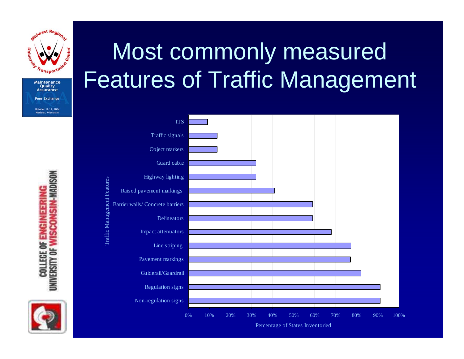

## Most commonly measured Features of Traffic Management



Features Traffic Management Features Traffic Management



**COLLEGE OF ENGINEERING<br>UNIVERSITY OF WISCONSIN-MADISON** 

Percentage of States I nventoried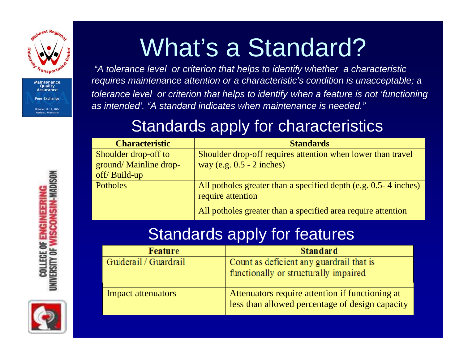

## What's a Standard?

*"A tolerance level or criterion that helps to identify whether a characteristic requires maintenance attention or a characteristic's condition is unacceptable; a tolerance level or criterion that helps to identify when a feature is not 'functioning as intended'. "A standard indicates when maintenance is needed."*

#### Standards apply for characteristics

| <b>Characteristic</b>  | <b>Standards</b>                                                                         |
|------------------------|------------------------------------------------------------------------------------------|
| Shoulder drop-off to   | Shoulder drop-off requires attention when lower than travel                              |
| ground/ Mainline drop- | way (e.g. $0.5 - 2$ inches)                                                              |
| off/Build-up           |                                                                                          |
| Potholes               | All potholes greater than a specified depth (e.g. $0.5 - 4$ inches)<br>require attention |
|                        | All potholes greater than a specified area require attention                             |

#### Standards apply for features

| <b>Feature</b>            | <b>Standard</b>                                                                                    |
|---------------------------|----------------------------------------------------------------------------------------------------|
| Guiderail / Guardrail     | Count as deficient any guardrail that is<br>functionally or structurally impaired                  |
| <b>Impact attenuators</b> | Attenuators require attention if functioning at<br>less than allowed percentage of design capacity |

**UNIVERSITY OF WISCONSIN-MADISON COLLEGE OF ENGINEERIN** 

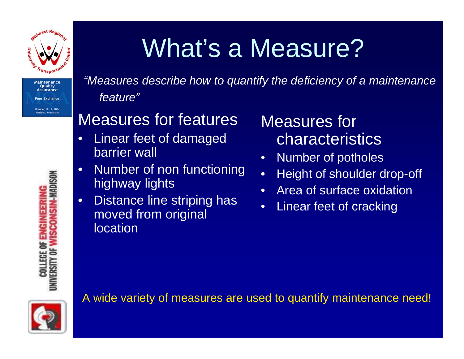

## What's a Measure?

*"Measures describe how to quantify the deficiency of a maintenance feature"*

#### Measures for features

- •Linear feet of damaged barrier wall
- •Number of non functioning highway lights
- •Distance line striping has moved from original **location**

Measures for characteristics

- •Numb er of potholes
- •Height of shoulder drop-off
- •Area of surface oxidation
- •Linear feet of cracking

A wide variety of measures are used to quantify maintenance need!

**SCONSIN-MADISON COLLEGE OF ENGINEERIN** *JNIVERSITY OF*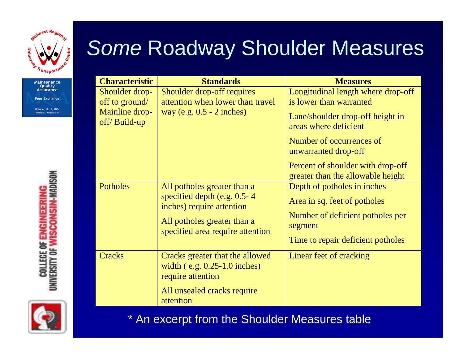

# UNIVERSITY OF WISCONSIN-MADISON **COLLEGE OF ENGINEERING**



#### *Some* Roadway Shoulder Measures

| <b>Characteristic</b>                                              | <b>Standards</b>                                                                                                                                            | <b>Measures</b>                                                                                                                                                                                                                                          |
|--------------------------------------------------------------------|-------------------------------------------------------------------------------------------------------------------------------------------------------------|----------------------------------------------------------------------------------------------------------------------------------------------------------------------------------------------------------------------------------------------------------|
| Shoulder drop-<br>off to ground/<br>Mainline drop-<br>off/Build-up | Shoulder drop-off requires<br>attention when lower than travel<br>way (e.g. $0.5 - 2$ inches)                                                               | Longitudinal length where drop-off<br>is lower than warranted<br>Lane/shoulder drop-off height in<br>areas where deficient<br>Number of occurrences of<br>unwarranted drop-off<br>Percent of shoulder with drop-off<br>greater than the allowable height |
| Potholes                                                           | All potholes greater than a<br>specified depth (e.g. 0.5-4)<br>inches) require attention<br>All potholes greater than a<br>specified area require attention | Depth of potholes in inches<br>Area in sq. feet of potholes<br>Number of deficient potholes per<br>segment<br>Time to repair deficient potholes                                                                                                          |
| <b>Cracks</b>                                                      | Cracks greater that the allowed<br>width $(e.g. 0.25-1.0$ inches)<br>require attention<br>All unsealed cracks require<br>attention                          | Linear feet of cracking                                                                                                                                                                                                                                  |

\* An excerpt from the Shoulder Measures table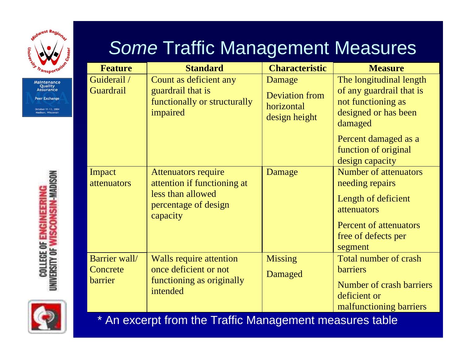

*Some* Traffic Management Measures

| <b>Feature</b>                       | <b>Standard</b>                                                                                                    | <b>Characteristic</b>                                          | <b>Measure</b>                                                                                                                                                                  |
|--------------------------------------|--------------------------------------------------------------------------------------------------------------------|----------------------------------------------------------------|---------------------------------------------------------------------------------------------------------------------------------------------------------------------------------|
| Guiderail /<br><b>Guardrail</b>      | Count as deficient any<br>guardrail that is<br>functionally or structurally<br>impaired                            | Damage<br><b>Deviation from</b><br>horizontal<br>design height | The longitudinal length<br>of any guardrail that is<br>not functioning as<br>designed or has been<br>damaged<br>Percent damaged as a<br>function of original<br>design capacity |
| Impact<br>attenuators                | <b>Attenuators require</b><br>attention if functioning at<br>less than allowed<br>percentage of design<br>capacity | Damage                                                         | <b>Number of attenuators</b><br>needing repairs<br>Length of deficient<br>attenuators<br><b>Percent of attenuators</b><br>free of defects per<br>segment                        |
| Barrier wall/<br>Concrete<br>barrier | Walls require attention<br>once deficient or not<br>functioning as originally<br>intended                          | <b>Missing</b><br>Damaged                                      | Total number of crash<br><b>barriers</b><br><b>Number of crash barriers</b><br>deficient or<br>malfunctioning barriers                                                          |

\* An excerpt from the Traffic Management measures table

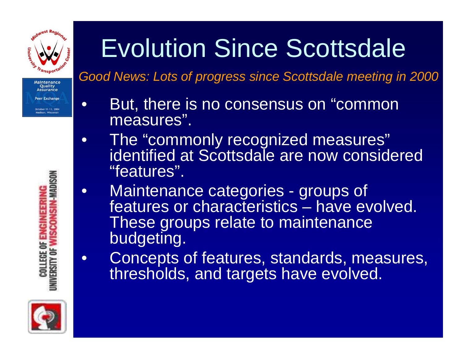

Maintenance **Ouality** ssurance er Exchange Aadison, Wisconsi

**M-MADISON** 

 $\bullet$ 

**e** 

# Evolution Since Scottsdale

*Good News: Lots of progress since Scottsdale meeting in 2000*

- But, there is no consensus on "common measures".
- $\bullet$ The "commonly recognized measures" identified at Scottsdale are now considered "features".
- $\bullet$ Maintenance categories - groups of features or characteristics – have evolved. These groups relate to maintenance budgeting.
	- Concepts of features, standards, measures, thresholds, and targets have evolved.



**COLLEGE OF ENGI** 

**IVERSITY OF**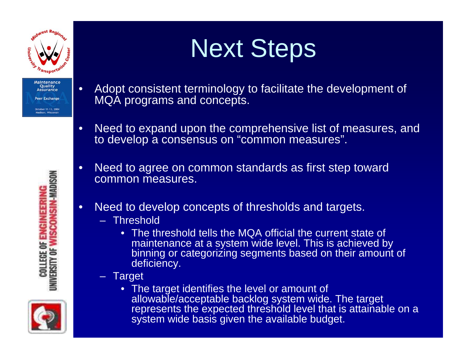

•

## Next Steps

- Adopt consistent terminology to facilitate the development of MQA programs and concepts.
- •Need to expand upon the comprehensive list of measures, and to develop a consensus on "common measures".
- •Need to agree on common standards as first step toward common measures.
- •Need to develop concepts of thresholds and targets.
	- –Threshold
		- The threshold tells the MQA official the current state of maintenance at a system wide level. This is achieved by binning or categorizing segments based on their amount of deficiency.
	- Target
		- The target identifies the level or amount of allowable/acceptable backlog system wide. The target represents the expected threshold level that is attainable on a system wide basis given the available budget.